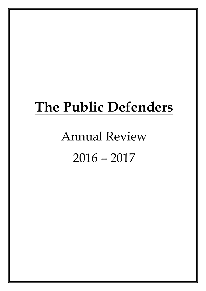## **The Public Defenders**

# Annual Review 2016 – 2017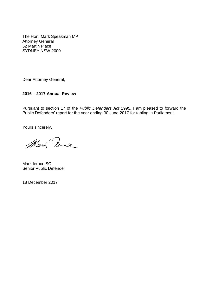The Hon. Mark Speakman MP Attorney General 52 Martin Place SYDNEY NSW 2000

Dear Attorney General,

#### **2016 – 2017 Annual Review**

Pursuant to section 17 of the *Public Defenders Act* 1995*,* I am pleased to forward the Public Defenders' report for the year ending 30 June 2017 for tabling in Parliament.

Yours sincerely,

Mark Ende

Mark Ierace SC Senior Public Defender

18 December 2017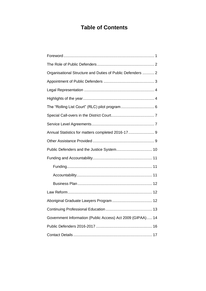### **Table of Contents**

| Organisational Structure and Duties of Public Defenders  2 |
|------------------------------------------------------------|
|                                                            |
|                                                            |
|                                                            |
| The "Rolling List Court" (RLC) pilot program 6             |
|                                                            |
|                                                            |
|                                                            |
|                                                            |
|                                                            |
|                                                            |
|                                                            |
|                                                            |
|                                                            |
|                                                            |
|                                                            |
| 13                                                         |
| Government Information (Public Access) Act 2009 (GIPAA) 14 |
|                                                            |
|                                                            |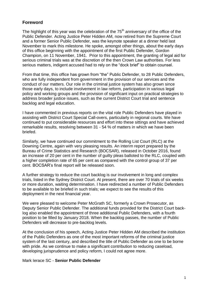#### <span id="page-4-0"></span>**Foreword**

The highlight of this year was the celebration of the  $75<sup>th</sup>$  anniversary of the office of the Public Defender. Acting Justice Peter Hidden AM, now retired from the Supreme Court and a former Senior Public Defender, was the keynote speaker at a dinner held last November to mark this milestone. He spoke, amongst other things, about the early days of this office beginning with the appointment of the first Public Defender, Gordon Champion, on 11 November, 1941. Prior to this appointment, the granting of legal aid for serious criminal trials was at the discretion of the then Crown Law authorities. For less serious matters, indigent accused had to rely on the "dock brief" to obtain counsel.

From that time, this office has grown from "the" Public Defender, to 28 Public Defenders, who are fully independent from government in the provision of our services and the conduct of our matters. Our role in the criminal justice system has also grown since those early days, to include involvement in law reform, participation in various legal policy and working groups and the provision of significant input on practical strategies to address broader justice issues, such as the current District Court trial and sentence backlog and legal education.

I have commented in previous reports on the vital role Public Defenders have played in assisting with District Court Special Call-overs, particularly in regional courts. We have continued to put considerable resources and effort into these sittings and have achieved remarkable results, resolving between 31 - 54 % of matters in which we have been briefed.

Similarly, we have continued our commitment to the Rolling List Court (RLC) at the Downing Centre, again with very pleasing results. An interim report prepared by the Bureau of Crime Statistics and Research (BOCSAR), released in October 2016, found an increase of 20 per cent in the number of guilty pleas balloted to the RLC, coupled with a higher completion rate of 65 per cent as compared with the control group of 37 per cent. BOCSAR's final report will be released soon.

A further strategy to reduce the court backlog is our involvement in long and complex trials, listed in the Sydney District Court. At present, there are over 70 trials of six weeks or more duration, waiting determination. I have redirected a number of Public Defenders to be available to be briefed in such trials; we expect to see the results of this deployment in the next financial year.

We were pleased to welcome Peter McGrath SC, formerly a Crown Prosecutor, as Deputy Senior Public Defender. The additional funds provided for the District Court backlog also enabled the appointment of three additional Public Defenders, with a fourth position to be filled by January 2018. When the backlog passes, the number of Public Defenders will decrease to pre-backlog levels.

At the conclusion of his speech, Acting Justice Peter Hidden AM described the institution of the Public Defenders as one of the most important reforms of the criminal justice system of the last century, and described the title of Public Defender as one to be borne with pride. As we continue to make a significant contribution to reducing caseload, developing jurisprudence and policy reform, I could not agree more.

Mark Ierace SC - **Senior Public Defender**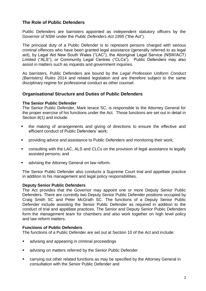#### <span id="page-5-0"></span>**The Role of Public Defenders**

Public Defenders are barristers appointed as independent statutory officers by the Governor of NSW under the *Public Defenders Act 1995* ("the Act").

The principal duty of a Public Defender is to represent persons charged with serious criminal offences who have been granted legal assistance (generally referred to as legal aid), by Legal Aid New South Wales ("LAC"), the Aboriginal Legal Service (NSW/ACT) Limited ("ALS"), or Community Legal Centres ("CLCs"). Public Defenders may also assist in matters such as inquests and government inquiries.

As barristers, Public Defenders are bound by the *Legal Profession Uniform Conduct (Barristers) Rules* 2014 and related legislation and are therefore subject to the same disciplinary regime for professional conduct as other counsel.

#### <span id="page-5-1"></span>**Organisational Structure and Duties of Public Defenders**

#### **The Senior Public Defender**

The Senior Public Defender, Mark Ierace SC, is responsible to the Attorney General for the proper exercise of his functions under the Act. Those functions are set out in detail in Section 8(1) and include:

- the making of arrangements and giving of directions to ensure the effective and efficient conduct of Public Defenders' work;
- providing advice and assistance to Public Defenders and monitoring their work;
- consulting with the LAC, ALS and CLCs on the provision of legal assistance to legally assisted persons; and
- advising the Attorney General on law reform.

The Senior Public Defender also conducts a Supreme Court trial and appellate practice in addition to his management and legal policy responsibilities.

#### **Deputy Senior Public Defenders**

The Act provides that the Governor may appoint one or more Deputy Senior Public Defenders. There are currently two Deputy Senior Public Defender positions occupied by Craig Smith SC and Peter McGrath SC. The functions of a Deputy Senior Public Defender include assisting the Senior Public Defender as required in addition to the conduct of trial and appellate practices. The Senior and Deputy Senior Public Defenders form the management team for chambers and also work together on high level policy and law reform matters.

#### **Functions of Public Defenders**

The functions of a Public Defender are set out at Section 10 of the Act and include:

- **EXECTE 20** advising and appearing in criminal proceedings
- **EXEDER** advising on matters referred by the Senior Public Defender
- carrying out other related functions as may be specified by the Attorney General in consultation with the Senior Public Defender and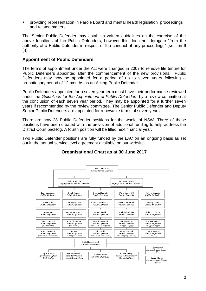providing representation in Parole Board and mental health legislation proceedings and related matters.

The Senior Public Defender may establish written guidelines on the exercise of the above functions of the Public Defenders, however this does not derogate "from the authority of a Public Defender in respect of the conduct of any proceedings" (section 6  $(4).$ 

#### <span id="page-6-0"></span>**Appointment of Public Defenders**

The terms of appointment under the Act were changed in 2007 to remove life tenure for Public Defenders appointed after the commencement of the new provisions. Public Defenders may now be appointed for a period of up to seven years following a probationary period of 12 months as an Acting Public Defender.

Public Defenders appointed for a seven year term must have their performance reviewed under the *Guidelines for the Appointment of Public Defenders* by a review committee at the conclusion of each seven year period. They may be appointed for a further seven years if recommended by the review committee. The Senior Public Defender and Deputy Senior Public Defenders are appointed for renewable terms of seven years.

There are now 28 Public Defender positions for the whole of NSW. Three of these positions have been created with the provision of additional funding to help address the District Court backlog. A fourth position will be filled next financial year.

Two Public Defender positions are fully funded by the LAC on an ongoing basis as set out in the annual service level agreement available on our website.



#### **Organisational Chart as at 30 June 2017**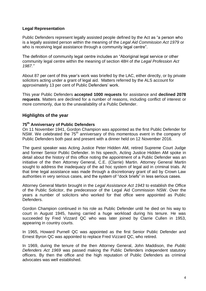#### <span id="page-7-0"></span>**Legal Representation**

Public Defenders represent legally assisted people defined by the Act as "a person who is a legally assisted person within the meaning of the *Legal Aid Commission Act 1979* or who is receiving legal assistance through a community legal centre".

The definition of community legal centre includes an "Aboriginal legal service or other community legal centre within the meaning of section 48H of *the Legal Profession Act 1987."*

About 87 per cent of this year's work was briefed by the LAC, either directly, or by private solicitors acting under a grant of legal aid. Matters referred by the ALS account for approximately 13 per cent of Public Defenders' work.

This year Public Defenders **accepted 1000 requests** for assistance and **declined 2078 requests**. Matters are declined for a number of reasons, including conflict of interest or more commonly, due to the unavailability of a Public Defender.

#### <span id="page-7-1"></span>**Highlights of the year**

#### **75th Anniversary of Public Defenders**

On 11 November 1941, Gordon Champion was appointed as the first Public Defender for NSW. We celebrated the  $75<sup>th</sup>$  anniversary of this momentous event in the company of Public Defenders both past and present with a dinner held on 12 November 2016.

The guest speaker was Acting Justice Peter Hidden AM, retired Supreme Court Judge and former Senior Public Defender. In his speech, Acting Justice Hidden AM spoke in detail about the history of this office noting the appointment of a Public Defender was an initiative of the then Attorney General, C.E. (Clarrie) Martin. Attorney General Martin sought to address the inadequacy of the ad hoc system of legal aid in criminal trials. At that time legal assistance was made through a discretionary grant of aid by Crown Law authorities in very serious cases, and the system of "dock briefs" in less serious cases.

Attorney General Martin brought in the *Legal Assistance Act 1943* to establish the Office of the Public Solicitor, the predecessor of the Legal Aid Commission NSW. Over the years a number of solicitors who worked for that office were appointed as Public Defenders.

Gordon Champion continued in his role as Public Defender until he died on his way to court in August 1945, having carried a huge workload during his tenure. He was succeeded by Fred Vizzard QC who was later joined by Clarrie Cullen in 1953, appearing in country courts.

In 1965, Howard Purnell QC was appointed as the first Senior Public Defender and Ernest Byron QC was appointed to replace Fred Vizzard QC, who retired.

In 1969, during the tenure of the then Attorney General, John Maddison, the *Public Defenders Act 1969* was passed making the Public Defenders independent statutory officers. By then the office and the high reputation of Public Defenders as criminal advocates was well established.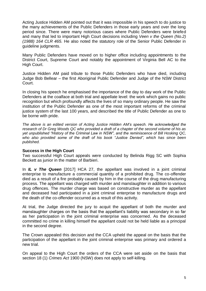Acting Justice Hidden AM pointed out that it was impossible in his speech to do justice to the many achievements of the Public Defenders in those early years and over the long period since. There were many notorious cases where Public Defenders were briefed and many that led to important High Court decisions including *Veen v the Queen (No.2) (1988) 164 CLR 465.* He also noted the statutory role of the Senior Public Defender in guideline judgments.

Many Public Defenders have moved on to higher office including appointments to the District Court, Supreme Court and notably the appointment of Virginia Bell AC to the High Court.

Justice Hidden AM paid tribute to those Public Defenders who have died, including Judge Bob Bellear – the first Aboriginal Public Defender and Judge of the NSW District Court.

In closing his speech he emphasised the importance of the day to day work of the Public Defenders at the coalface at both trial and appellate level: the work which gains no public recognition but which profoundly affects the lives of so many ordinary people. He saw the institution of the Public Defender as one of the most important reforms of the criminal justice system of the last 100 years, and described the title of Public Defender as one to be borne with pride.

*The above is an edited version of Acting Justice Hidden AM's speech. He acknowledged the research of Dr Greg Woods QC who provided a draft of a chapter of the second volume of his as yet unpublished "History of the Criminal Law in NSW", and the reminiscence of Bill Hosking QC, who also provided some of the draft of his book "Justice Denied", which has since been published.*

#### **Success in the High Court**

Two successful High Court appeals were conducted by Belinda Rigg SC with Sophia Beckett as junior in the matter of Barbieri.

In *IL v The Queen* [2017] HCA 27, the appellant was involved in a joint criminal enterprise to manufacture a commercial quantity of a prohibited drug. The co-offender died as a result of a fire probably caused by him in the course of the drug manufacturing process. The appellant was charged with murder and manslaughter in addition to various drug offences. The murder charge was based on constructive murder as the appellant and deceased had participated in a joint criminal enterprise to manufacture drugs and the death of the co-offender occurred as a result of this activity.

At trial, the Judge directed the jury to acquit the appellant of both the murder and manslaughter charges on the basis that the appellant's liability was secondary in so far as her participation in the joint criminal enterprise was concerned. As the deceased committed no crime in killing himself the appellant could not be held liable as a principal in the second degree.

The Crown appealed this decision and the CCA upheld the appeal on the basis that the participation of the appellant in the joint criminal enterprise was primary and ordered a new trial.

On appeal to the High Court the orders of the CCA were set aside on the basis that section 18 (1) *Crimes Act* 1900 (NSW) does not apply to self-killing.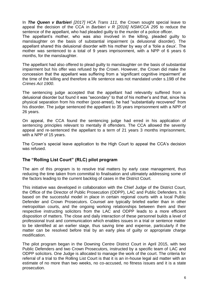In *The Queen v Barbieri [2017] HCA Trans 111,* the Crown sought special leave to appeal the decision of the CCA in *Barbieri v R [2016] NSWCCA 295* to reduce the sentence of the appellant, who had pleaded guilty to the murder of a police officer.

The appellant's mother, who was also involved in the killing, pleaded guilty to manslaughter on the basis of substantial impairment (a delusional disorder). The appellant shared this delusional disorder with his mother by way of a 'folie a deux'. The mother was sentenced to a total of 9 years imprisonment, with a NPP of 6 years 6 months, for the manslaughter.

The appellant had also offered to plead guilty to manslaughter on the basis of substantial impairment but his offer was refused by the Crown. However, the Crown did make the concession that the appellant was suffering from a 'significant cognitive impairment' at the time of the killing and therefore a life sentence was not mandated under s.19B of the *Crimes Act 1900*.

The sentencing judge accepted that the appellant had relevantly suffered from a delusional disorder but found it was "secondary" to that of his mother's and that, since his physical separation from his mother (post-arrest), he had "substantially recovered" from his disorder. The judge sentenced the appellant to 35 years imprisonment with a NPP of 26 years.

On appeal, the CCA found the sentencing judge had erred in his application of sentencing principles relevant to mentally ill offenders. The CCA allowed the severity appeal and re-sentenced the appellant to a term of 21 years 3 months imprisonment, with a NPP of 15 years.

The Crown's special leave application to the High Court to appeal the CCA's decision was refused.

#### <span id="page-9-0"></span>**The "Rolling List Court" (RLC) pilot program**

The aim of this program is to resolve trial matters by early case management, thus reducing the time taken from committal to finalisation and ultimately addressing some of the factors leading to the current backlog of cases in the District Court.

This initiative was developed in collaboration with the Chief Judge of the District Court, the Office of the Director of Public Prosecution (ODPP), LAC and Public Defenders. It is based on the successful model in place in certain regional courts with a local Public Defender and Crown Prosecutors. Counsel are typically briefed earlier than in other metropolitan courts, and the ongoing working relationships between them and their respective instructing solicitors from the LAC and ODPP leads to a more efficient disposition of matters. The close and daily interaction of these personnel builds a level of professional trust and communication which enables issues in a trial or sentence matter to be identified at an earlier stage, thus saving time and expense, particularly if the matter can be resolved before trial by an early plea of guilty or appropriate charge modification.

The pilot program began in the Downing Centre District Court in April 2015, with two Public Defenders and two Crown Prosecutors, instructed by a specific team of LAC and ODPP solicitors. One Judge is allocated to manage the work of the court. The criteria for referral of a trial to the Rolling List Court is that it is an in-house legal aid matter with an estimate of no more than two weeks, no co-accused, no fitness issues and it is a state prosecution.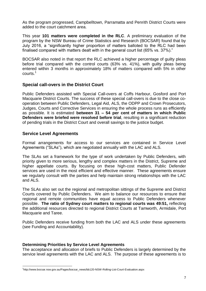As the program progressed, Campbelltown, Parramatta and Penrith District Courts were added to the court catchment area.

This year **101 matters were completed in the RLC**. A preliminary evaluation of the program by the NSW Bureau of Crime Statistics and Research (BOCSAR) found that by July 2016, a "significantly higher proportion of matters balloted to the RLC had been finalised compared with matters dealt with in the general court list (65% vs. 37%)."

BOCSAR also noted in that report the RLC achieved a higher percentage of guilty pleas before trial compared with the control courts (63% vs. 41%), with guilty pleas being entered within 3 months in approximately 18% of matters compared with 5% in other courts.<sup>1</sup>

#### <span id="page-10-0"></span>**Special call-overs in the District Court**

Public Defenders assisted with Special Call-overs at Coffs Harbour, Gosford and Port Macquarie District Courts. The success of these special call-overs is due to the close cooperation between Public Defenders, Legal Aid, ALS, the ODPP and Crown Prosecutors, Judges, Courts and Corrective Services in ensuring the whole process runs as efficiently as possible. It is estimated **between 31 – 54 per cent of matters in which Public Defenders were briefed were resolved before trial**, resulting in a significant reduction of pending trials in the District Court and overall savings to the justice budget.

#### <span id="page-10-1"></span>**Service Level Agreements**

 $\overline{a}$ 

Formal arrangements for access to our services are contained in Service Level Agreements ("SLAs"), which are negotiated annually with the LAC and ALS.

The SLAs set a framework for the type of work undertaken by Public Defenders, with priority given to more serious, lengthy and complex matters in the District, Supreme and higher appellate courts. By focusing on these high-cost matters, Public Defender services are used in the most efficient and effective manner. These agreements ensure we regularly consult with the parties and help maintain strong relationships with the LAC and ALS.

The SLAs also set out the regional and metropolitan sittings of the Supreme and District Courts covered by Public Defenders. We aim to balance our resources to ensure that regional and remote communities have equal access to Public Defenders whenever possible. **The ratio of Sydney court matters to regional courts was 49:51,** reflecting the additional resources directed to regional District Courts at Tamworth, Armidale, Port Macquarie and Taree.

Public Defenders receive funding from both the LAC and ALS under these agreements (see Funding and Accountability).

#### **Determining Priorities by Service Level Agreements**

The acceptance and allocation of briefs to Public Defenders is largely determined by the service level agreements with the LAC and ALS. The purpose of these agreements is to

<sup>1</sup> http://www.bocsar.nsw.gov.au/Pages/bocsar\_news/bb120-NSW-Rolling-List-Court-Evaluation.aspx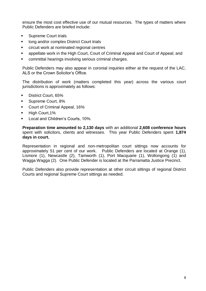ensure the most cost effective use of our mutual resources. The types of matters where Public Defenders are briefed include:

- Supreme Court trials
- **If** long and/or complex District Court trials
- circuit work at nominated regional centres
- appellate work in the High Court, Court of Criminal Appeal and Court of Appeal; and
- committal hearings involving serious criminal charges.

Public Defenders may also appear in coronial inquiries either at the request of the LAC, ALS or the Crown Solicitor's Office.

The distribution of work (matters completed this year) across the various court jurisdictions is approximately as follows:

- **District Court, 65%**
- Supreme Court, 8%
- Court of Criminal Appeal, 16%
- High Court,1%
- Local and Children's Courts, 10%.

**Preparation time amounted to 2,130 days** with an additional **2,608 conference hours** spent with solicitors, clients and witnesses. This year Public Defenders spent **1,874 days in court.**

Representation in regional and non-metropolitan court sittings now accounts for approximately 51 per cent of our work. Public Defenders are located at Orange (1), Lismore (1), Newcastle (2), Tamworth (1), Port Macquarie (1), Wollongong (1) and Wagga Wagga (2). One Public Defender is located at the Parramatta Justice Precinct.

<span id="page-11-0"></span>Public Defenders also provide representation at other circuit sittings of regional District Courts and regional Supreme Court sittings as needed.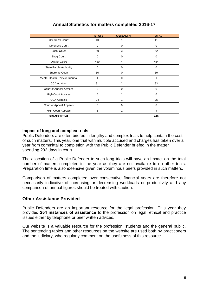|                               | <b>STATE</b> | <b>C'WEALTH</b> | <b>TOTAL</b> |
|-------------------------------|--------------|-----------------|--------------|
| Children's Court              | 10           | 1               | 11           |
| Coroner's Court               | $\Omega$     | $\mathbf 0$     | $\Omega$     |
| Local Court                   | 59           | 3               | 62           |
| Drug Court                    | 0            | 0               | $\mathbf 0$  |
| <b>District Court</b>         | 480          | $\overline{4}$  | 484          |
| <b>State Parole Authority</b> | 0            | $\mathbf 0$     | $\mathbf 0$  |
| Supreme Court                 | 60           | $\mathbf 0$     | 60           |
| Mental Health Review Tribunal | 1            | $\Omega$        | 1            |
| <b>CCA Advices</b>            | 91           | 2               | 93           |
| Court of Appeal Advices       | $\mathbf 0$  | $\mathbf 0$     | $\mathbf 0$  |
| <b>High Court Advices</b>     | 5            | 1               | 6            |
| <b>CCA Appeals</b>            | 24           | 1               | 25           |
| Court of Appeal Appeals       | 0            | $\mathbf 0$     | $\mathbf 0$  |
| <b>High Court Appeals</b>     | 3            | 1               | 4            |
| <b>GRAND TOTAL</b>            |              |                 | 746          |

#### **Annual Statistics for matters completed 2016-17**

#### **Impact of long and complex trials**

Public Defenders are often briefed in lengthy and complex trials to help contain the cost of such matters. This year, one trial with multiple accused and charges has taken over a year from committal to completion with the Public Defender briefed in the matter spending 232 days in court.

The allocation of a Public Defender to such long trials will have an impact on the total number of matters completed in the year as they are not available to do other trials. Preparation time is also extensive given the voluminous briefs provided in such matters.

Comparison of matters completed over consecutive financial years are therefore not necessarily indicative of increasing or decreasing workloads or productivity and any comparison of annual figures should be treated with caution.

#### <span id="page-12-0"></span>**Other Assistance Provided**

Public Defenders are an important resource for the legal profession. This year they provided **254 instances of assistance** to the profession on legal, ethical and practice issues either by telephone or brief written advices.

<span id="page-12-1"></span>Our website is a valuable resource for the profession, students and the general public. The sentencing tables and other resources on the website are used both by practitioners and the judiciary, who regularly comment on the usefulness of this resource.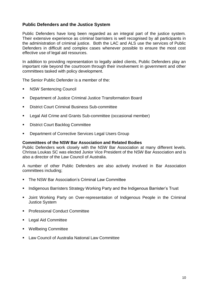#### **Public Defenders and the Justice System**

Public Defenders have long been regarded as an integral part of the justice system. Their extensive experience as criminal barristers is well recognised by all participants in the administration of criminal justice. Both the LAC and ALS use the services of Public Defenders in difficult and complex cases whenever possible to ensure the most cost effective use of legal aid resources.

In addition to providing representation to legally aided clients, Public Defenders play an important role beyond the courtroom through their involvement in government and other committees tasked with policy development.

The Senior Public Defender is a member of the:

- **NSW Sentencing Council**
- Department of Justice Criminal Justice Transformation Board
- District Court Criminal Business Sub-committee
- **EXECT** Legal Aid Crime and Grants Sub-committee (occasional member)
- **District Court Backlog Committee**
- **Department of Corrective Services Legal Users Group**

#### **Committees of the NSW Bar Association and Related Bodies**

Public Defenders work closely with the NSW Bar Association at many different levels. Chrissa Loukas SC was elected Junior Vice President of the NSW Bar Association and is also a director of the Law Council of Australia.

A number of other Public Defenders are also actively involved in Bar Association committees including;

- **The NSW Bar Association's Criminal Law Committee**
- **Indigenous Barristers Strategy Working Party and the Indigenous Barrister's Trust**
- **Joint Working Party on Over-representation of Indigenous People in the Criminal** Justice System
- **Professional Conduct Committee**
- **Legal Aid Committee**
- **Wellbeing Committee**
- **Law Council of Australia National Law Committee**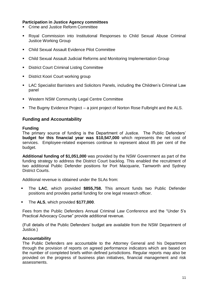#### **Participation in Justice Agency committees**

- **EXECT** Crime and Justice Reform Committee
- Royal Commission into Institutional Responses to Child Sexual Abuse Criminal Justice Working Group
- Child Sexual Assault Evidence Pilot Committee
- Child Sexual Assault Judicial Reforms and Monitoring Implementation Group
- **District Court Criminal Listing Committee**
- **District Koori Court working group**
- LAC Specialist Barristers and Solicitors Panels, including the Children's Criminal Law panel
- **Western NSW Community Legal Centre Committee**
- The Bugmy Evidence Project a joint project of Norton Rose Fulbright and the ALS.

#### <span id="page-14-0"></span>**Funding and Accountability**

#### <span id="page-14-1"></span>**Funding**

The primary source of funding is the Department of Justice. The Public Defenders' **budget for this financial year was \$10,547,000** which represents the net cost of services. Employee-related expenses continue to represent about 85 per cent of the budget.

**Additional funding of \$1,051,000** was provided by the NSW Government as part of the funding strategy to address the District Court backlog. This enabled the recruitment of two additional Public Defender positions for Port Macquarie, Tamworth and Sydney District Courts.

Additional revenue is obtained under the SLAs from:

- The **LAC**, which provided **\$855,758.** This amount funds two Public Defender positions and provides partial funding for one legal research officer.
- The **ALS**, which provided **\$177,000**.

Fees from the Public Defenders Annual Criminal Law Conference and the "Under 5's Practical Advocacy Course" provide additional revenue.

(Full details of the Public Defenders' budget are available from the NSW Department of Justice.)

#### <span id="page-14-2"></span>**Accountability**

The Public Defenders are accountable to the Attorney General and his Department through the provision of reports on agreed performance indicators which are based on the number of completed briefs within defined jurisdictions. Regular reports may also be provided on the progress of business plan initiatives, financial management and risk assessments.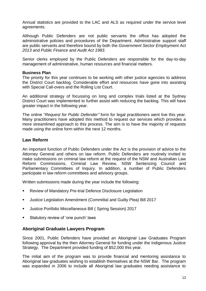Annual statistics are provided to the LAC and ALS as required under the service level agreements.

Although Public Defenders are not public servants the office has adopted the administrative policies and procedures of the Department. Administrative support staff are public servants and therefore bound by both the *Government Sector Employment Act 2013* and *Public Finance and Audit Act 1983.*

Senior clerks employed by the Public Defenders are responsible for the day-to-day management of administrative, human resources and financial matters.

#### <span id="page-15-0"></span>**Business Plan**

The priority for this year continues to be working with other justice agencies to address the District Court backlog. Considerable effort and resources have gone into assisting with Special Call-overs and the Rolling List Court.

An additional strategy of focussing on long and complex trials listed at the Sydney District Court was implemented to further assist with reducing the backlog. This will have greater impact in the following year.

The online "*Request for Public Defender"* form for legal practitioners went live this year. Many practitioners have adopted this method to request our services which provides a more streamlined approach to this process. The aim is to have the majority of requests made using the online form within the next 12 months.

#### <span id="page-15-1"></span>**Law Reform**

An important function of Public Defenders under the Act is the provision of advice to the Attorney General and others on law reform. Public Defenders are routinely invited to make submissions on criminal law reform at the request of the NSW and Australian Law Reform Commissions, Criminal Law Review, NSW Sentencing Council and Parliamentary Committees of Inquiry. In addition, a number of Public Defenders participate in law reform committees and advisory groups.

Written submissions made during the year include the following:

- Review of Mandatory Pre-trial Defence Disclosure Legislation
- Justice Legislation Amendment (Committal and Guilty Plea) Bill 2017
- Justice Portfolio Miscellaneous Bill ( Spring Session) 2017
- Statutory review of 'one punch' laws

#### <span id="page-15-2"></span>**Aboriginal Graduate Lawyers Program**

Since 2001, Public Defenders have provided an Aboriginal Law Graduates Program following approval by the then Attorney General for funding under the Indigenous Justice Strategy. The Department provided funding of \$52,000 this year.

The initial aim of the program was to provide financial and mentoring assistance to Aboriginal law graduates wishing to establish themselves at the NSW Bar. The program was expanded in 2006 to include all Aboriginal law graduates needing assistance to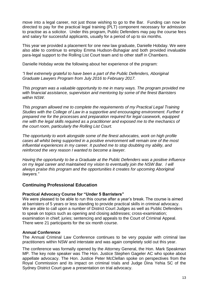move into a legal career, not just those wishing to go to the Bar. Funding can now be directed to pay for the practical legal training (PLT) component necessary for admission to practise as a solicitor. Under this program, Public Defenders may pay the course fees and salary for successful applicants, usually for a period of up to six months.

This year we provided a placement for one new law graduate, Danielle Hobday. We were also able to continue to employ Emma Hudson-Buhagiar and both provided invaluable para-legal support to the Rolling List Court team and to other staff in Chambers.

Danielle Hobday wrote the following about her experience of the program:

*"I feel extremely grateful to have been a part of the Public Defenders, Aboriginal Graduate Lawyers Program from July 2016 to February 2017.* 

*This program was a valuable opportunity to me in many ways. The program provided me with financial assistance, supervision and mentoring by some of the finest Barristers within NSW.* 

*This program allowed me to complete the requirements of my Practical Legal Training Studies with the College of Law in a supportive and encouraging environment. Further it prepared me for the processes and preparation required for legal casework, equipped me with the legal skills required as a practitioner and exposed me to the mechanics of the court room, particularly the Rolling List Court.* 

*The opportunity to work alongside some of the finest advocates, work on high profile cases all whilst being supported in a positive environment will remain one of the most influential experiences in my career. It pushed me to stop doubting my ability, and reinforced the very reason I wanted to become a lawyer.*

*Having the opportunity to be a Graduate at the Public Defenders was a positive influence on my legal career and maintained my vision to eventually join the NSW Bar. I will always praise this program and the opportunities it creates for upcoming Aboriginal lawyers."*

#### <span id="page-16-0"></span>**Continuing Professional Education**

#### **Practical Advocacy Course for "Under 5 Barristers"**

We were pleased to be able to run this course after a year's break. The course is aimed at barristers of 5 years or less standing to provide practical skills in criminal advocacy. We are able to call upon a number of District Court Judges as well as Public Defenders to speak on topics such as opening and closing addresses; cross-examination; examination in chief; juries; sentencing and appeals to the Court of Criminal Appeal. There were 21 participants for the six month course.

#### **Annual Conference**

The Annual Criminal Law Conference continues to be very popular with criminal law practitioners within NSW and interstate and was again completely sold out this year.

The conference was formally opened by the Attorney General, the Hon. Mark Speakman MP. The key note speaker was The Hon. Justice Stephen Gageler AC who spoke about appellate advocacy. The Hon. Justice Peter McClellan spoke on perspectives from the Royal Commission and its impact on criminal trials and Judge Dina Yehia SC of the Sydney District Court gave a presentation on trial advocacy.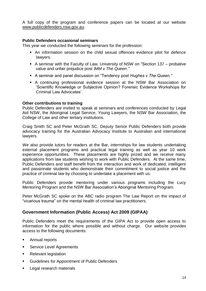A full copy of the program and conference papers can be located at our website [www.publicdefenders.nsw.gov.au.](http://www.publicdefenders.nsw.gov.au/)

#### **Public Defenders occasional seminars**

This year we conducted the following seminars for the profession:

- An information session on the child sexual offences evidence pilot for defence lawyers.
- A seminar with the Faculty of Law, University of NSW on "Section 137 probative value and unfair prejudice post *IMM v The Queen."*
- A seminar and panel discussion on "Tendency post *Hughes v The Queen."*
- A continuing professional evidence session at the NSW Bar Association on 'Scientific Knowledge or Subjective Opinion? Forensic Evidence Workshops for Criminal Law Advocates'.

#### **Other contributions to training**

Public Defenders are invited to speak at seminars and conferences conducted by Legal Aid NSW, the Aboriginal Legal Service, Young Lawyers, the NSW Bar Association, the College of Law and other tertiary institutions.

Craig Smith SC and Peter McGrath SC, Deputy Senior Public Defenders both provide advocacy training for the Australian Advocacy Institute to Australian and international lawyers.

We also provide tutors for readers at the Bar, internships for law students undertaking external placement programs and practical legal training as well as year 10 work experience opportunities. These placements are highly prized and we receive many applications from law students wishing to work with Public Defenders. At the same time, Public Defenders and staff benefit from the interaction and work of dedicated, intelligent and passionate students who demonstrate their commitment to social justice and the practice of criminal law by choosing to undertake a placement with us.

Public Defenders provide mentoring under various programs including the Lucy Mentoring Program and the NSW Bar Association's Aboriginal Mentoring Program.

Peter McGrath SC spoke on the ABC radio program The Law Report on the impact of "vicarious trauma" on the mental health of criminal law practitioners.

#### <span id="page-17-0"></span>**Government Information (Public Access) Act 2009 (GIPAA)**

Public Defenders meet the requirements of the GIPA Act to provide open access to information for the public where possible and without charge. Our website provides access to the following documents:

- **Annual reports**
- **Service Level Agreements**
- **Relevant legislation**
- **Guidelines for Appointment of Public Defenders**
- Legal research materials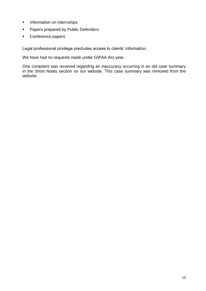- **Information on internships**
- **Papers prepared by Public Defenders**
- Conference papers

Legal professional privilege precludes access to clients' information.

We have had no requests made under GIPAA this year.

One complaint was received regarding an inaccuracy occurring in an old case summary in the Short Notes section on our website. This case summary was removed from the website.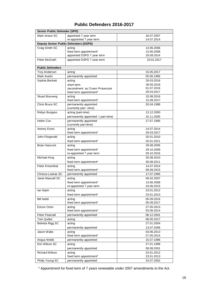|  | <b>Public Defenders 2016-2017</b> |  |
|--|-----------------------------------|--|
|--|-----------------------------------|--|

<span id="page-19-0"></span>

| Senior Public Defender (SPD) |                                                 |                          |  |  |
|------------------------------|-------------------------------------------------|--------------------------|--|--|
| Mark lerace SC               | appointed 7 year term                           | 16.07.2007               |  |  |
|                              | re-appointed 7 year term                        | 14.07.2014               |  |  |
|                              | <b>Deputy Senior Public Defenders (DSPD)</b>    |                          |  |  |
| Craig Smith SC               | acting                                          | 13.06.2006               |  |  |
|                              | fixed term appointment*                         | 13.06.2008               |  |  |
|                              | appointed DSPD 7 year term                      | 18.09.2014               |  |  |
| Peter McGrath                | appointed DSPD 7 year term                      | 23.01.2017               |  |  |
| <b>Public Defenders</b>      |                                                 |                          |  |  |
| <b>Troy Anderson</b>         | acting                                          | 15.05.2017               |  |  |
|                              |                                                 |                          |  |  |
| Mark Austin                  | permanently appointed                           | 05.06.1995               |  |  |
| Sophia Beckett               | acting                                          | 29.03.2016               |  |  |
|                              | short term                                      | 30.05.2016               |  |  |
|                              | secondment as Crown Prosecutor                  | 01.07.2016               |  |  |
|                              | fixed term appointment*                         | 29.03.2017               |  |  |
| <b>Stuart Bouveng</b>        | acting                                          | 15.08.2016               |  |  |
|                              | fixed term appointment*                         | 15.08.2017               |  |  |
| Chris Bruce SC               | permanently appointed<br>(currently part -time) | 26.04.1988               |  |  |
| Robyn Burgess                | acting (part-time)                              | 13.12.2000               |  |  |
|                              | permanently appointed (part-time)               | 10.11.2005               |  |  |
| Helen Cox                    | permanently appointed                           | 17.07.1995               |  |  |
|                              | (currently part-time)                           |                          |  |  |
| <b>Antony Evers</b>          | acting                                          | 14.07.2014               |  |  |
|                              | fixed term appointment*                         | 29.03.2017               |  |  |
| John Fitzgerald              | acting                                          | 25.01.2010               |  |  |
|                              | fixed term appointment*                         | 25.01.2011               |  |  |
| <b>Brian Hancock</b>         | acting                                          | 29.08.2005               |  |  |
|                              | fixed term appointment*                         | 29.10.2009               |  |  |
|                              | re-appointed 7 year term                        | 29.10.2016               |  |  |
| Michael King                 | acting                                          | 30.08.2010               |  |  |
|                              | fixed term appointment*                         | 30.08.2011               |  |  |
| Peter Krisenthal             | acting                                          | 14.07.2014               |  |  |
|                              | fixed term appointment*                         | 09.09.2015               |  |  |
| Chrissa Loukas SC            | permanently appointed                           | 17.07.1995               |  |  |
| Janet Manuell SC             | acting                                          | 06.02.2007               |  |  |
|                              | fixed term appointment*                         | 13.06.2008               |  |  |
|                              | re-appointed 7 year term                        | 24.06.2015               |  |  |
| lan Nash                     | acting                                          | 23.01.2012               |  |  |
|                              | fixed term appointment*                         | 23.01.2013               |  |  |
| <b>Bill Neild</b>            | acting                                          | 05.09.2016               |  |  |
|                              | fixed term appointment*                         | 05.09.2017               |  |  |
| Ertunc Ozen                  | acting                                          | 27.05.2013               |  |  |
|                              | fixed term appointment*                         | 03.06.2014               |  |  |
| Peter Pearsall               | permanently appointed                           | 06.12.2001               |  |  |
| <b>Tom Quilter</b>           | acting                                          | 08.05.2017               |  |  |
| Belinda Rigg SC              | acting                                          | 27.01.2004               |  |  |
|                              |                                                 |                          |  |  |
|                              | permanently appointed                           | 13.07.2006               |  |  |
| Jason Watts                  | acting<br>fixed term appointment*               | 03.06.2013<br>27.05.2014 |  |  |
|                              |                                                 |                          |  |  |
| Angus Webb                   | permanently appointed                           | 15.07.1996               |  |  |
| Eric Wilson SC               | acting                                          | 27.01.1998               |  |  |
|                              | permanently appointed                           | 09.08.2001               |  |  |
| <b>Richard Wilson</b>        | acting                                          | 23.01.2012               |  |  |
|                              | fixed term appointment*                         | 23.01.2013               |  |  |
| Philip Young SC              | permanently appointed                           | 24.07.2002               |  |  |

\* Appointment for fixed term of 7 years renewable under 2007 amendments to the Act.